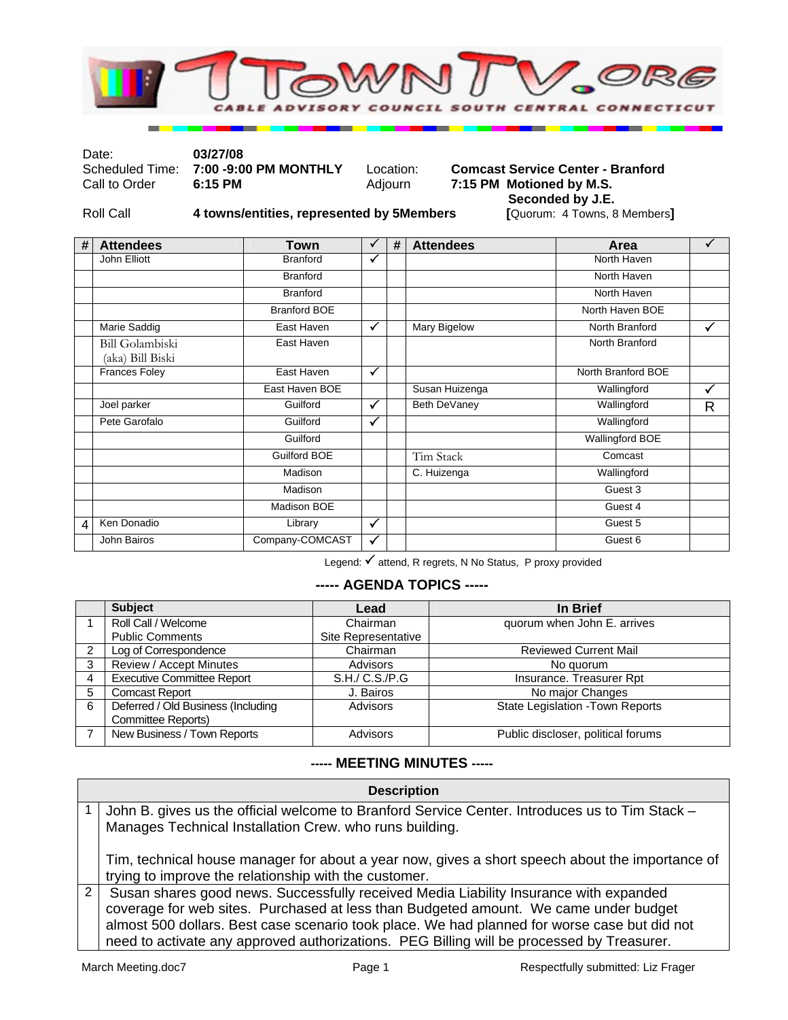

Date: **03/27/08** 

Scheduled Time: **7:00 -9:00 PM MONTHLY** Location: **Comcast Service Center - Branford** Call to Order 6:15 PM MONTHLY Adjourn 7:15 PM Motioned by M.S. **7:15 PM Motioned by M.S.** 

Roll Call **4 towns/entities, represented by 5 Members** 

**Seconded by J.E.**<br>[Quorum: 4 Towns, 8 Members]

| # | <b>Attendees</b>                           | Town                | ✓            | # | <b>Attendees</b> | Area                   | ✓ |
|---|--------------------------------------------|---------------------|--------------|---|------------------|------------------------|---|
|   | John Elliott                               | <b>Branford</b>     | ✓            |   |                  | North Haven            |   |
|   |                                            | <b>Branford</b>     |              |   |                  | North Haven            |   |
|   |                                            | <b>Branford</b>     |              |   |                  | North Haven            |   |
|   |                                            | <b>Branford BOE</b> |              |   |                  | North Haven BOE        |   |
|   | Marie Saddig                               | East Haven          | $\checkmark$ |   | Mary Bigelow     | North Branford         | ✓ |
|   | <b>Bill Golambiski</b><br>(aka) Bill Biski | East Haven          |              |   |                  | North Branford         |   |
|   | <b>Frances Foley</b>                       | East Haven          | $\checkmark$ |   |                  | North Branford BOE     |   |
|   |                                            | East Haven BOE      |              |   | Susan Huizenga   | Wallingford            | ✓ |
|   | Joel parker                                | Guilford            | $\checkmark$ |   | Beth DeVaney     | Wallingford            | R |
|   | Pete Garofalo                              | Guilford            | $\checkmark$ |   |                  | Wallingford            |   |
|   |                                            | Guilford            |              |   |                  | <b>Wallingford BOE</b> |   |
|   |                                            | <b>Guilford BOE</b> |              |   | Tim Stack        | Comcast                |   |
|   |                                            | Madison             |              |   | C. Huizenga      | Wallingford            |   |
|   |                                            | Madison             |              |   |                  | Guest 3                |   |
|   |                                            | Madison BOE         |              |   |                  | Guest 4                |   |
| 4 | Ken Donadio                                | Library             | $\checkmark$ |   |                  | Guest 5                |   |
|   | John Bairos                                | Company-COMCAST     | $\checkmark$ |   |                  | Guest 6                |   |

Legend: √ attend, R regrets, N No Status, P proxy provided

## **----- AGENDA TOPICS -----**

|   | <b>Subject</b>                     | Lead                | In Brief                           |
|---|------------------------------------|---------------------|------------------------------------|
|   | Roll Call / Welcome                | Chairman            | quorum when John E. arrives        |
|   | <b>Public Comments</b>             | Site Representative |                                    |
| っ | Log of Correspondence              | Chairman            | <b>Reviewed Current Mail</b>       |
| 3 | Review / Accept Minutes            | Advisors            | No quorum                          |
| 4 | <b>Executive Committee Report</b>  | S.H./ C.S./P.G      | Insurance. Treasurer Rpt           |
| 5 | <b>Comcast Report</b>              | J. Bairos           | No major Changes                   |
| 6 | Deferred / Old Business (Including | Advisors            | State Legislation - Town Reports   |
|   | Committee Reports)                 |                     |                                    |
|   | New Business / Town Reports        | Advisors            | Public discloser, political forums |

## **----- MEETING MINUTES -----**

| <b>Description</b>                                                                                                                                                                                                                                                                                                                                                         |  |  |  |  |
|----------------------------------------------------------------------------------------------------------------------------------------------------------------------------------------------------------------------------------------------------------------------------------------------------------------------------------------------------------------------------|--|--|--|--|
| John B. gives us the official welcome to Branford Service Center. Introduces us to Tim Stack -<br>Manages Technical Installation Crew. who runs building.                                                                                                                                                                                                                  |  |  |  |  |
| Tim, technical house manager for about a year now, gives a short speech about the importance of<br>trying to improve the relationship with the customer.                                                                                                                                                                                                                   |  |  |  |  |
| Susan shares good news. Successfully received Media Liability Insurance with expanded<br>coverage for web sites. Purchased at less than Budgeted amount. We came under budget<br>almost 500 dollars. Best case scenario took place. We had planned for worse case but did not<br>need to activate any approved authorizations. PEG Billing will be processed by Treasurer. |  |  |  |  |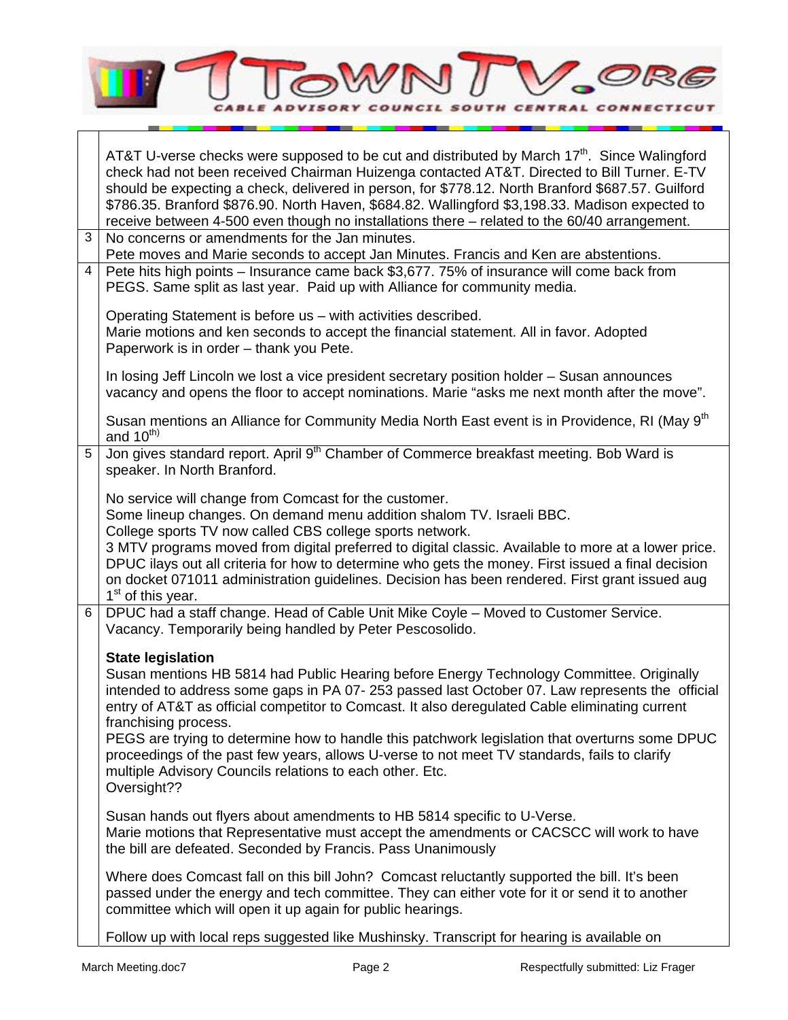

|                | AT&T U-verse checks were supposed to be cut and distributed by March 17 <sup>th</sup> . Since Walingford<br>check had not been received Chairman Huizenga contacted AT&T. Directed to Bill Turner. E-TV<br>should be expecting a check, delivered in person, for \$778.12. North Branford \$687.57. Guilford<br>\$786.35. Branford \$876.90. North Haven, \$684.82. Wallingford \$3,198.33. Madison expected to<br>receive between 4-500 even though no installations there – related to the 60/40 arrangement.                                                                                                |  |  |
|----------------|----------------------------------------------------------------------------------------------------------------------------------------------------------------------------------------------------------------------------------------------------------------------------------------------------------------------------------------------------------------------------------------------------------------------------------------------------------------------------------------------------------------------------------------------------------------------------------------------------------------|--|--|
| 3              | No concerns or amendments for the Jan minutes.<br>Pete moves and Marie seconds to accept Jan Minutes. Francis and Ken are abstentions.                                                                                                                                                                                                                                                                                                                                                                                                                                                                         |  |  |
| $\overline{4}$ | Pete hits high points – Insurance came back \$3,677. 75% of insurance will come back from<br>PEGS. Same split as last year. Paid up with Alliance for community media.                                                                                                                                                                                                                                                                                                                                                                                                                                         |  |  |
|                | Operating Statement is before us - with activities described.<br>Marie motions and ken seconds to accept the financial statement. All in favor. Adopted<br>Paperwork is in order - thank you Pete.                                                                                                                                                                                                                                                                                                                                                                                                             |  |  |
|                | In losing Jeff Lincoln we lost a vice president secretary position holder – Susan announces<br>vacancy and opens the floor to accept nominations. Marie "asks me next month after the move".                                                                                                                                                                                                                                                                                                                                                                                                                   |  |  |
|                | Susan mentions an Alliance for Community Media North East event is in Providence, RI (May 9 <sup>th</sup><br>and $10^{th}$                                                                                                                                                                                                                                                                                                                                                                                                                                                                                     |  |  |
| 5              | Jon gives standard report. April 9 <sup>th</sup> Chamber of Commerce breakfast meeting. Bob Ward is<br>speaker. In North Branford.                                                                                                                                                                                                                                                                                                                                                                                                                                                                             |  |  |
|                | No service will change from Comcast for the customer.<br>Some lineup changes. On demand menu addition shalom TV. Israeli BBC.<br>College sports TV now called CBS college sports network.<br>3 MTV programs moved from digital preferred to digital classic. Available to more at a lower price.<br>DPUC ilays out all criteria for how to determine who gets the money. First issued a final decision<br>on docket 071011 administration guidelines. Decision has been rendered. First grant issued aug<br>1 <sup>st</sup> of this year.                                                                      |  |  |
| 6              | DPUC had a staff change. Head of Cable Unit Mike Coyle - Moved to Customer Service.<br>Vacancy. Temporarily being handled by Peter Pescosolido.                                                                                                                                                                                                                                                                                                                                                                                                                                                                |  |  |
|                | <b>State legislation</b><br>Susan mentions HB 5814 had Public Hearing before Energy Technology Committee. Originally<br>intended to address some gaps in PA 07-253 passed last October 07. Law represents the official<br>entry of AT&T as official competitor to Comcast. It also deregulated Cable eliminating current<br>franchising process.<br>PEGS are trying to determine how to handle this patchwork legislation that overturns some DPUC<br>proceedings of the past few years, allows U-verse to not meet TV standards, fails to clarify<br>multiple Advisory Councils relations to each other. Etc. |  |  |
|                | Oversight??                                                                                                                                                                                                                                                                                                                                                                                                                                                                                                                                                                                                    |  |  |
|                | Susan hands out flyers about amendments to HB 5814 specific to U-Verse.<br>Marie motions that Representative must accept the amendments or CACSCC will work to have<br>the bill are defeated. Seconded by Francis. Pass Unanimously                                                                                                                                                                                                                                                                                                                                                                            |  |  |
|                | Where does Comcast fall on this bill John? Comcast reluctantly supported the bill. It's been<br>passed under the energy and tech committee. They can either vote for it or send it to another<br>committee which will open it up again for public hearings.                                                                                                                                                                                                                                                                                                                                                    |  |  |
|                | Follow up with local reps suggested like Mushinsky. Transcript for hearing is available on                                                                                                                                                                                                                                                                                                                                                                                                                                                                                                                     |  |  |